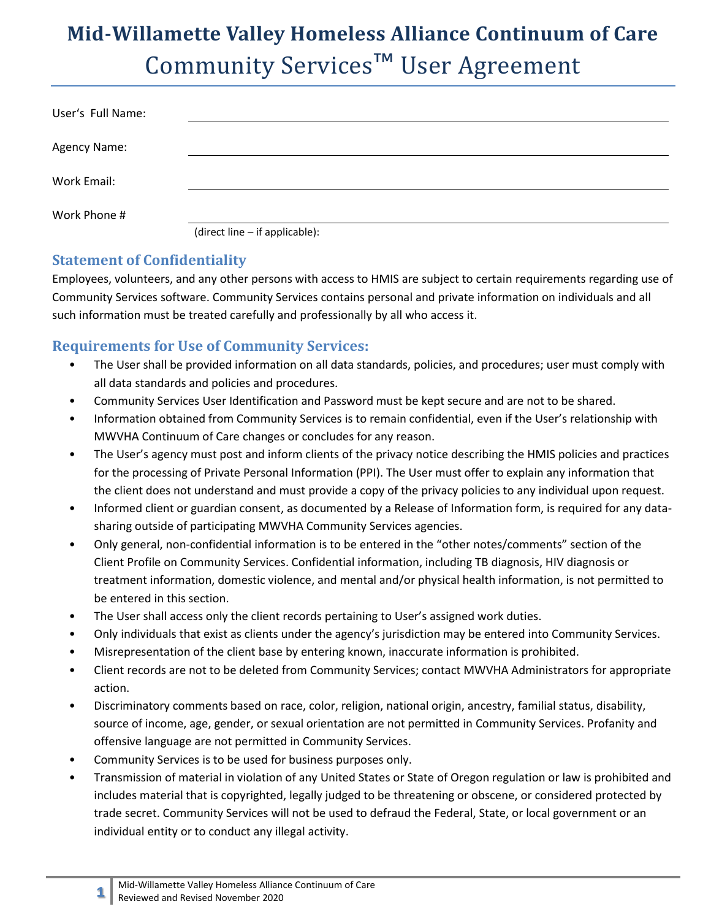## **Mid-Willamette Valley Homeless Alliance Continuum of Care** Community Services™ User Agreement

| User's Full Name: |                                |
|-------------------|--------------------------------|
| Agency Name:      |                                |
| Work Email:       |                                |
| Work Phone #      |                                |
|                   | (direct line - if applicable): |

## **Statement of Confidentiality**

Employees, volunteers, and any other persons with access to HMIS are subject to certain requirements regarding use of Community Services software. Community Services contains personal and private information on individuals and all such information must be treated carefully and professionally by all who access it.

## **Requirements for Use of Community Services:**

- The User shall be provided information on all data standards, policies, and procedures; user must comply with all data standards and policies and procedures.
- Community Services User Identification and Password must be kept secure and are not to be shared.
- Information obtained from Community Services is to remain confidential, even if the User's relationship with MWVHA Continuum of Care changes or concludes for any reason.
- The User's agency must post and inform clients of the privacy notice describing the HMIS policies and practices for the processing of Private Personal Information (PPI). The User must offer to explain any information that the client does not understand and must provide a copy of the privacy policies to any individual upon request.
- Informed client or guardian consent, as documented by a Release of Information form, is required for any datasharing outside of participating MWVHA Community Services agencies.
- Only general, non-confidential information is to be entered in the "other notes/comments" section of the Client Profile on Community Services. Confidential information, including TB diagnosis, HIV diagnosis or treatment information, domestic violence, and mental and/or physical health information, is not permitted to be entered in this section.
- The User shall access only the client records pertaining to User's assigned work duties.
- Only individuals that exist as clients under the agency's jurisdiction may be entered into Community Services.
- Misrepresentation of the client base by entering known, inaccurate information is prohibited.
- Client records are not to be deleted from Community Services; contact MWVHA Administrators for appropriate action.
- Discriminatory comments based on race, color, religion, national origin, ancestry, familial status, disability, source of income, age, gender, or sexual orientation are not permitted in Community Services. Profanity and offensive language are not permitted in Community Services.
- Community Services is to be used for business purposes only.
- Transmission of material in violation of any United States or State of Oregon regulation or law is prohibited and includes material that is copyrighted, legally judged to be threatening or obscene, or considered protected by trade secret. Community Services will not be used to defraud the Federal, State, or local government or an individual entity or to conduct any illegal activity.